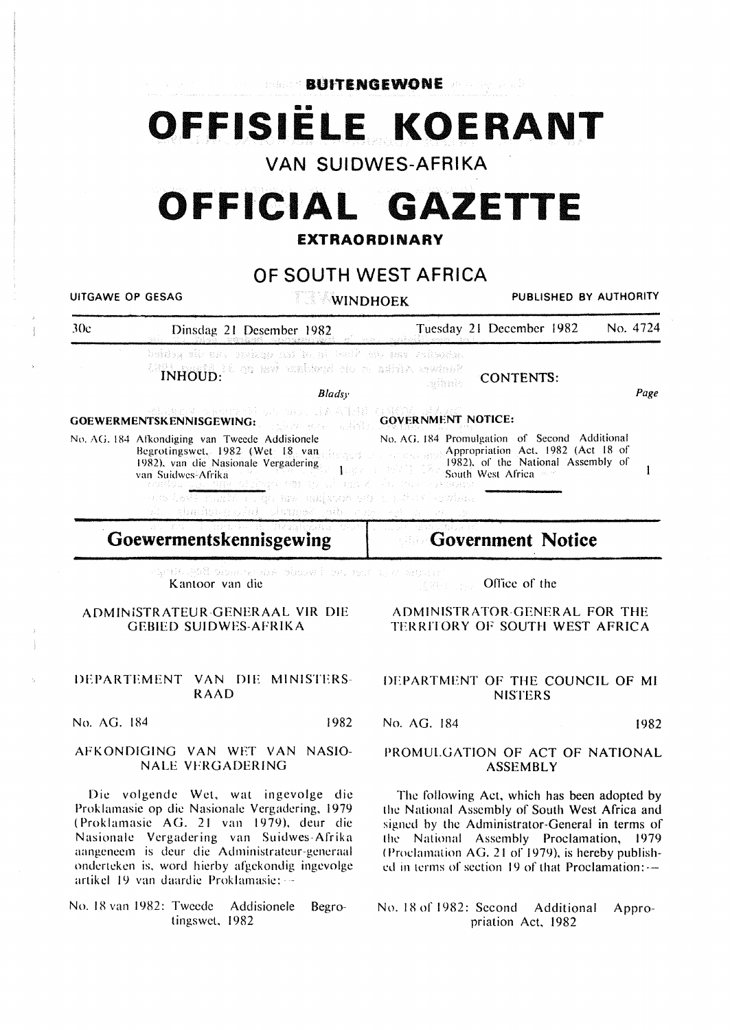**Library BUITENGEWONE All and the UITIENGEWONE** 

## **OFFISIELE KOERANT**

**VAN SUIDWES-AFRIKA** 

# **OFFICIAL GAZETTE**

#### **EXTRAORDINARY**

#### **OF SOUTH WEST AFRICA**

UITGAWE OP GESAG WINDHOEK PUBLISHED BY AUTHORITY JOe Dinsdag 21 Desember 1982 Tuesday 21 December 1982 No. 4724 schapter van die Staat in dit gesings van die gebied IN the CA is an isological city of additive contract CONTENTS: *Bladsy*  Page mos JAA138 ( GOEWERMENTSKENNISGEWING: GOVERNMENT NOTICE: No. AG. 184 Promulgation of Second Additional No. AG. 184 Afkondiging van Tweede Addisionele Appropriation Act. 1982 (Act 18 of Hegrotingswet. 1982 (Wet 18 van 1982). of the National Assembly of 1982), van die Nasionale Vergadering  $1007$  $\mathbf{1}$ South West Africa van Suidwes-Afrika and K go law salabod sti ng Musikowlan chadurgela same sh r

#### **Goewermentskennisgewing**

#### **Government Notice**  Silv.

antic god dienemente verwerken van die verwerken van die

Oflice of the

#### AOMINiSTRATEUR-GENERAAL VIR DIE GEBIED SUIDWES-AFRIKA

#### DEPARTEMENT VAN DIE MINISTERS-RAAD

No. AG. 184 1982

#### AfKONDIGING VAN WET VAN NASIO-NALE VFRGADERJNG

Die volgende Wet, wat ingevolge die Proklamasie op die Nasionalc Vergadering, 1979 ( Proklamasie AG. 21 van 1979), deur die Nasionalc Vergadcring van Suidwes-Afrika aangencem is deur die Administratcur-gcneraal onderteken is, word hierby afgekondig ingevolge artikel 19 van daardie Proklamasie: --

No. 18 van 1982: Tweede Addisionele Begrotingswet, 1982

#### ADMINISTRATOR-GENERAL FOR THE TERRITORY OF SOUTH WEST AFRICA

#### DEPARTMENT OF THE COUNCIL OF Ml **NISTERS**

No. AG. 184 1982

#### PROMULGATION OF ACT OF NATIONAL **ASSEMBLY**

The following Act, which has been adopted by the National Assembly of South West Africa and signed by the Administrator-General in terms of the National Assembly Proclamation, 1979 (Proclamation AG. 21 of 1979), is hereby published in terms of section 19 of that Proclamation: --

No. 18 of 1982: Second Additional Appropriation Act, 1982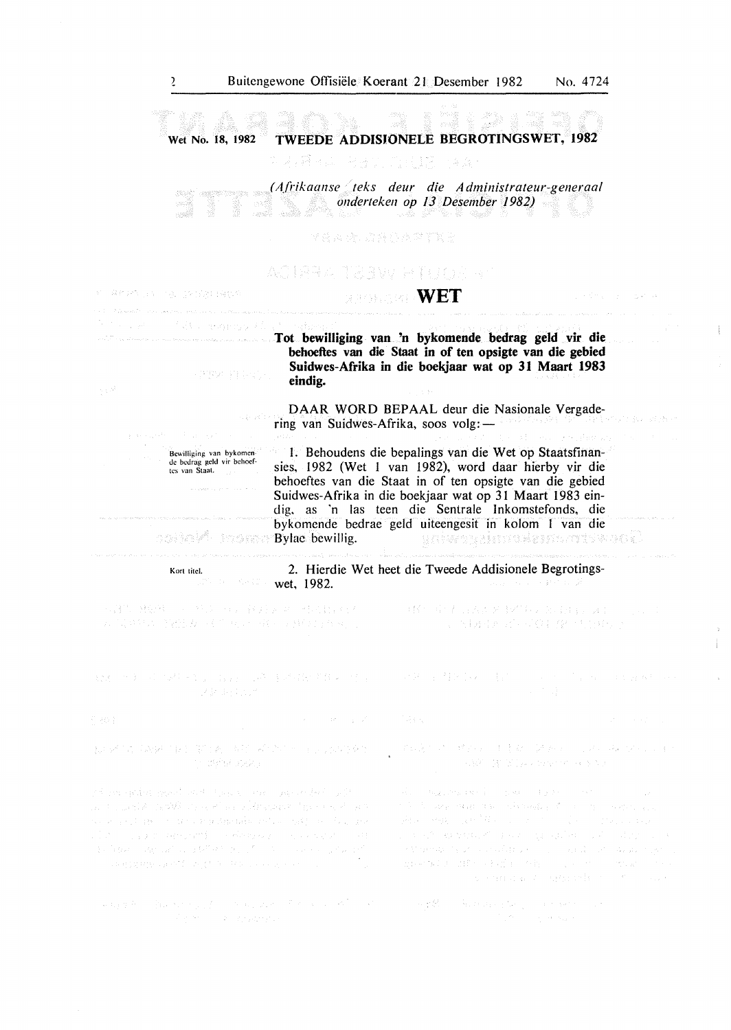Wet No. 18, 1982 TWEEDE ADDISJONELE BEGROTINGSWET, 1982

*( A.frikaanse teks deur die A dministrateur-generaa/ onderteken op 13 Desember 1982)* 

FRITT CONTROLLER AND

### ACTREATIVEW HILLOGIE

#### **WET**

(解除) 转让时,

Als transacti

Tot bewilliging van 'n bykomende bedrag geld vir die behoeftes van die Staat in of ten opsigte van die gebied Suidwes-Afrika in die boekjaar wat op 31 Maart 1983 eindig.

DAAR WORD BEPAAL deur die Nasionale Vergadering van Suidwes-Afrika, soos volg:-

I. Behoudens die bepalings van die Wet op Staatsfinansies, 1982 (Wet I van 1982), word daar hierby vir die behoeftes van die Staat in of ten opsigte van die gebied Suidwes-Afrika in die boekjaar wat op 31 Maart 1983 eindig. as 'n las teen die Sentrale Inkomstefonds, die bykomende bedrae geld uiteengesit in kolom I van die Bylac bcwillig. galasyahuwa amishin dal

 $0.083010^{8}$ indra

Bewilliging van bykomen de bedrag geld vir behoef-<br>tes van Staat.

Kort titel.

2. Hierdie Wet heet die Tweede Addisionele Begrotingswet, 1982.

和建筑、转轮线、2018年以下的,全身的ACMO 网络特别的 ACCOUNT 2. 同单独为的轻松, 将作用以一般, 与某项行为, 第二

用轻小量 经合同资金 经清偿债券 医异丙基苯 医卡尔 (1) 图 8号 / 20 - 20 1 fR / f (345) )

所知,在这些社会的公司,这些事件是否有关的,可以是否是否是否是否是否是否是否是否

 $\mathcal{L} = \{ \mathcal{L} \in \mathcal{L} \}$  ,  $\mathcal{L} =$ 广场上

如此的第三人称单数 SETA (本部)系统的 (Seta Seta Seta TH BREAK START

nt av gelen geschiedet. Des eineren geschiltet in 2000 an the particle of the second and a literature of the constitution. a ka ya Mareka wa Mareka wa Mareka wa 1970, wa 1970, wa Mareka 

网络生物 解除的 经无产品 网络欧洲 医不全性 不合同的 医神经的 医神经性神经 医单位神经 医红 in a construction

 $\mathcal{L}(\mathbb{Z}_2,\mathbb{Q})^{\mathbb{Z}_2} \cong \mathcal{L}^{\mathbb{Z}_2} \otimes \mathcal{L}^{\mathbb{Z}_2} \cong \mathbb{E} \otimes_{\mathbb{Z}}^{\mathbb{Z}_2} \mathbb{Z}^{\mathbb{Z}_2} \cong \bigvee_{\mathbb{Z}} \mathbb{Z}^{\mathbb{Z}_2} \otimes \mathbb{Z}^{\mathbb{Z}_2} \cong \mathbb{Z}^{\mathbb{Z}_2} \otimes \mathbb{Z}^{\mathbb{Z}_2} \otimes \mathbb{Z}^{\mathbb{Z}_2} \cong \mathbb{Z}^{\math$ (AW N Night Section & M)

the following them the individual of the control device and i se de la valar de la signale su la sobre l  $\phi$  , and case is a set of the set of  $\phi$ 

you start pertina will have interested a deemed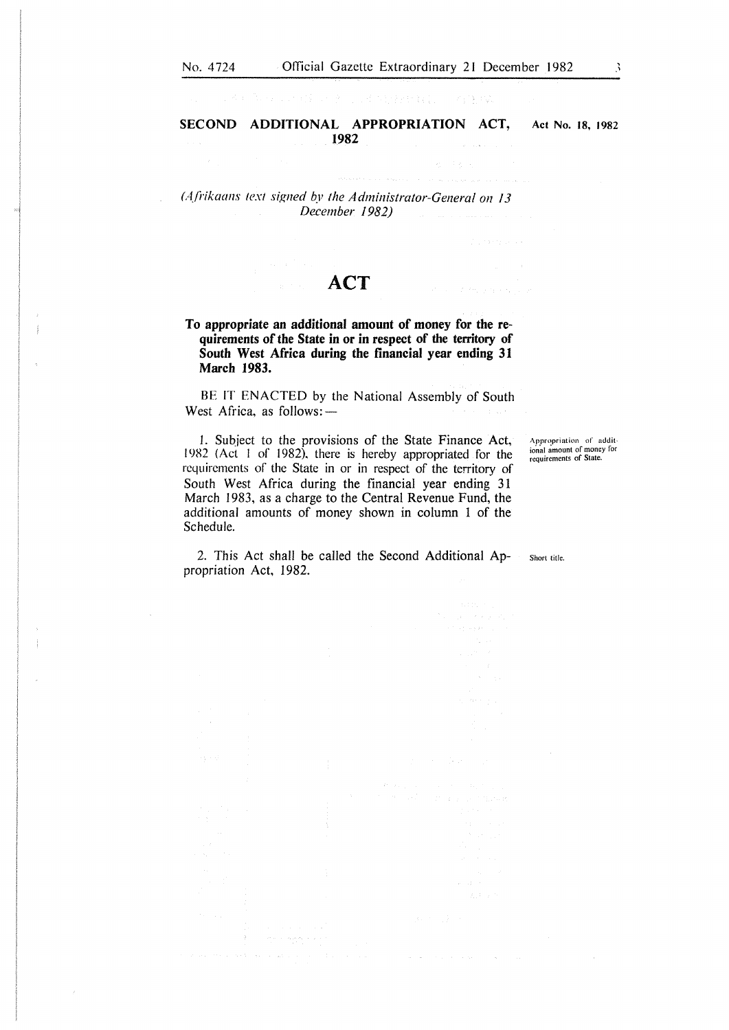经公司计算 计子程序 经特种分配的 人名德埃

**SECOND ADDITIONAL APPROPRIATION ACT,** Act No. **18,** 1982 **1982** 

*(Afrikaans text signed by the Administrator-General on 13 December 1982)* 

#### **ACT**

**To appropriate an additional amount of money for the requirements of the State in or in respect of the territory of South West Africa during the financial year ending 31 March 1983.** 

BE IT ENACTED by the National Assembly of South West Africa, as follows: $-$ 

1. Subject to the provisions of the State Finance Act, 19R2 (Act I of 1982). there is hereby appropriated for the requirements of the State in or in respect of the territory of South West Africa during the financial year ending 31 March 1983, as a charge to the Central Revenue Fund, the additional amounts of money shown in column 1 of the Schedule.

 $\langle \phi_{\mathbf{S},\mathbf{S}}(\mathbf{s}_1,\mathbf{s}_2),\mathbf{s}_1\rangle_{\mathbf{S}^{\text{out}}(\mathbf{s}_1,\mathbf{s}_2)}$ 

**Appropriation of atldit**ional amount of money for<br>requirements of State.

2. This Act shall be called the Second Additional Appropriation Act, 1982. Short title.

Victoria de

 $\Delta\phi$  , and  $\phi$  , and  $\phi$  , and  $\phi$  , and  $\phi$ 

 $\sim 10^{11}$  km  $^{-1}$  m  $^{-1}$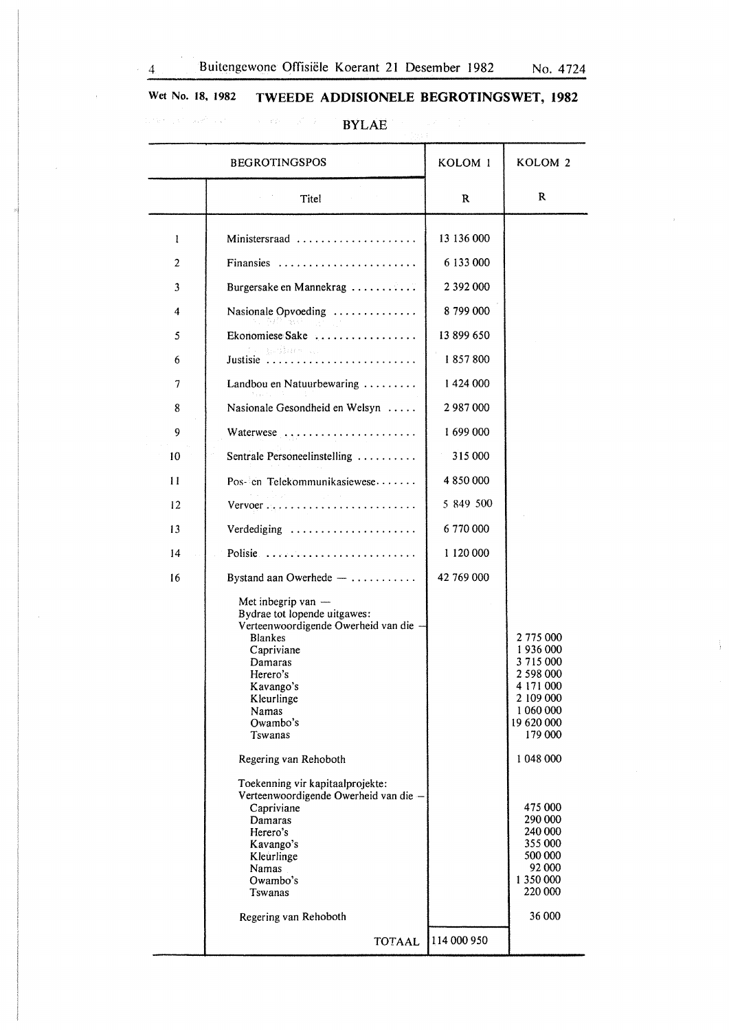$\bar{z}$ 

 $\frac{1}{2}$ 

### Wet No. 18, 1982 TWEEDE ADDISIONELE BEGROTINGSWET, 1982 dinastic and the company of the set  $\mathbf{BYLAE}$  is a set of the set of the set of the set of the set of the set of the set of the set of the set of the set of the set of the set of the set of the set of the set of the set o

|                | <b>BEGROTINGSPOS</b>                                                                                                                                                                                                                                                                                                                                                                                                  | KOLOM <sub>1</sub> | KOLOM <sub>2</sub>                                                                                                                                                                                                   |
|----------------|-----------------------------------------------------------------------------------------------------------------------------------------------------------------------------------------------------------------------------------------------------------------------------------------------------------------------------------------------------------------------------------------------------------------------|--------------------|----------------------------------------------------------------------------------------------------------------------------------------------------------------------------------------------------------------------|
|                | Titel                                                                                                                                                                                                                                                                                                                                                                                                                 | R                  | R                                                                                                                                                                                                                    |
| 1              | Ministersraad                                                                                                                                                                                                                                                                                                                                                                                                         | 13 136 000         |                                                                                                                                                                                                                      |
| $\overline{2}$ | Finansies                                                                                                                                                                                                                                                                                                                                                                                                             | 6 133 000          |                                                                                                                                                                                                                      |
| 3              | Burgersake en Mannekrag                                                                                                                                                                                                                                                                                                                                                                                               | 2 392 000          |                                                                                                                                                                                                                      |
| 4              | Nasionale Opvoeding                                                                                                                                                                                                                                                                                                                                                                                                   | 8799000            |                                                                                                                                                                                                                      |
| 5              | Ekonomiese Sake                                                                                                                                                                                                                                                                                                                                                                                                       | 13 899 650         |                                                                                                                                                                                                                      |
| 6              |                                                                                                                                                                                                                                                                                                                                                                                                                       | 1857800            |                                                                                                                                                                                                                      |
| 7              | Landbou en Natuurbewaring                                                                                                                                                                                                                                                                                                                                                                                             | 1424 000           |                                                                                                                                                                                                                      |
| 8              | Nasionale Gesondheid en Welsyn                                                                                                                                                                                                                                                                                                                                                                                        | 2987000            |                                                                                                                                                                                                                      |
| 9              | Waterwese                                                                                                                                                                                                                                                                                                                                                                                                             | 1699000            |                                                                                                                                                                                                                      |
| 10             | Sentrale Personeelinstelling                                                                                                                                                                                                                                                                                                                                                                                          | 315 000            |                                                                                                                                                                                                                      |
| 11             | Pos- en Telekommunikasiewese                                                                                                                                                                                                                                                                                                                                                                                          | 4 850 000          |                                                                                                                                                                                                                      |
| 12             | Vervoer                                                                                                                                                                                                                                                                                                                                                                                                               | 5 849 500          |                                                                                                                                                                                                                      |
| 13             | Verdediging                                                                                                                                                                                                                                                                                                                                                                                                           | 6 770 000          |                                                                                                                                                                                                                      |
| 14             | Polisie                                                                                                                                                                                                                                                                                                                                                                                                               | 1 120 000          |                                                                                                                                                                                                                      |
| 16             | Bystand aan Owerhede $- \ldots \ldots \ldots$                                                                                                                                                                                                                                                                                                                                                                         | 42 769 000         |                                                                                                                                                                                                                      |
|                | Met inbegrip van $-$<br>Bydrae tot lopende uitgawes:<br>Verteenwoordigende Owerheid van die -<br><b>Blankes</b><br>Capriviane<br>Damaras<br>Herero's<br>Kavango's<br>Kleurlinge<br>Namas<br>Owambo's<br>Tswanas<br>Regering van Rehoboth<br>Toekenning vir kapitaalprojekte:<br>Verteenwoordigende Owerheid van die -<br>Capriviane<br>Damaras<br>Herero's<br>Kavango's<br>Kleurlinge<br>Namas<br>Owambo's<br>Tswanas |                    | 2 775 000<br>1936000<br>3 715 000<br>2 598 000<br>4 171 000<br>2 109 000<br>1 060 000<br>19 620 000<br>179 000<br>1 048 000<br>475 000<br>290 000<br>240 000<br>355 000<br>500 000<br>92 000<br>1 350 000<br>220 000 |
|                | Regering van Rehoboth                                                                                                                                                                                                                                                                                                                                                                                                 |                    | 36 000                                                                                                                                                                                                               |
|                | TOTAAL                                                                                                                                                                                                                                                                                                                                                                                                                | 114 000 950        |                                                                                                                                                                                                                      |

 $\hat{\boldsymbol{\gamma}}$ 

 $\mathcal{A}^{\mathcal{A}}$ 

 $\mathcal{L}_{\mathcal{A}}$